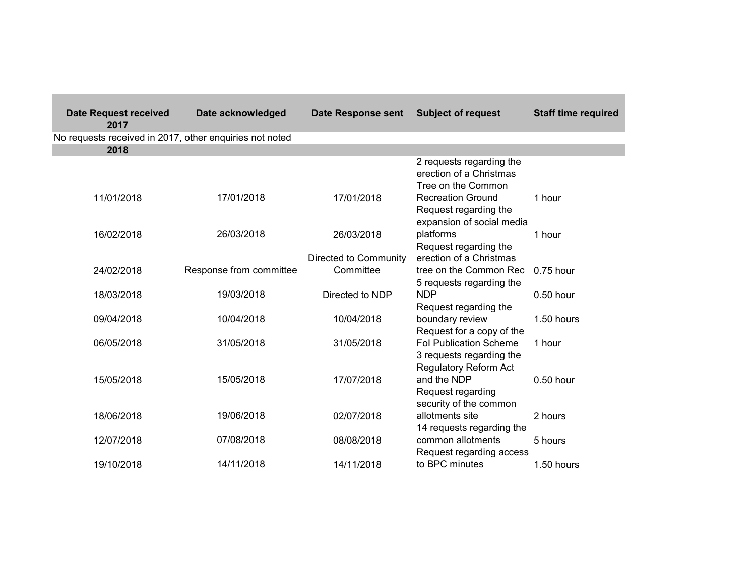| <b>Date Request received</b><br>2017                    | Date acknowledged       | <b>Date Response sent</b> | <b>Subject of request</b>                                                                 | <b>Staff time required</b> |
|---------------------------------------------------------|-------------------------|---------------------------|-------------------------------------------------------------------------------------------|----------------------------|
| No requests received in 2017, other enquiries not noted |                         |                           |                                                                                           |                            |
| 2018                                                    |                         |                           |                                                                                           |                            |
|                                                         |                         |                           | 2 requests regarding the<br>erection of a Christmas<br>Tree on the Common                 |                            |
| 11/01/2018                                              | 17/01/2018              | 17/01/2018                | <b>Recreation Ground</b><br>Request regarding the<br>expansion of social media            | 1 hour                     |
| 16/02/2018                                              | 26/03/2018              | 26/03/2018                | platforms<br>Request regarding the                                                        | 1 hour                     |
|                                                         |                         | Directed to Community     | erection of a Christmas                                                                   |                            |
| 24/02/2018                                              | Response from committee | Committee                 | tree on the Common Rec<br>5 requests regarding the                                        | $0.75$ hour                |
| 18/03/2018                                              | 19/03/2018              | Directed to NDP           | <b>NDP</b><br>Request regarding the                                                       | 0.50 hour                  |
| 09/04/2018                                              | 10/04/2018              | 10/04/2018                | boundary review<br>Request for a copy of the                                              | 1.50 hours                 |
| 06/05/2018                                              | 31/05/2018              | 31/05/2018                | <b>Fol Publication Scheme</b><br>3 requests regarding the<br><b>Regulatory Reform Act</b> | 1 hour                     |
| 15/05/2018                                              | 15/05/2018              | 17/07/2018                | and the NDP<br>Request regarding<br>security of the common                                | 0.50 hour                  |
| 18/06/2018                                              | 19/06/2018              | 02/07/2018                | allotments site<br>14 requests regarding the                                              | 2 hours                    |
| 12/07/2018                                              | 07/08/2018              | 08/08/2018                | common allotments<br>Request regarding access                                             | 5 hours                    |
| 19/10/2018                                              | 14/11/2018              | 14/11/2018                | to BPC minutes                                                                            | 1.50 hours                 |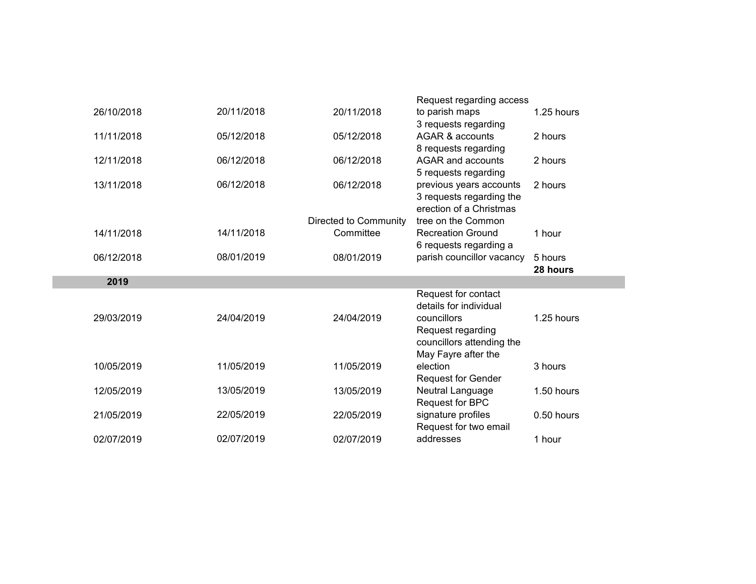|            |            |                       | Request regarding access                         |            |
|------------|------------|-----------------------|--------------------------------------------------|------------|
| 26/10/2018 | 20/11/2018 | 20/11/2018            | to parish maps                                   | 1.25 hours |
|            |            |                       | 3 requests regarding                             |            |
| 11/11/2018 | 05/12/2018 | 05/12/2018            | AGAR & accounts                                  | 2 hours    |
| 12/11/2018 | 06/12/2018 | 06/12/2018            | 8 requests regarding<br><b>AGAR and accounts</b> | 2 hours    |
|            |            |                       | 5 requests regarding                             |            |
| 13/11/2018 | 06/12/2018 | 06/12/2018            | previous years accounts                          | 2 hours    |
|            |            |                       | 3 requests regarding the                         |            |
|            |            |                       | erection of a Christmas                          |            |
|            |            | Directed to Community | tree on the Common                               |            |
| 14/11/2018 | 14/11/2018 | Committee             | <b>Recreation Ground</b>                         | 1 hour     |
|            |            |                       | 6 requests regarding a                           |            |
| 06/12/2018 | 08/01/2019 | 08/01/2019            | parish councillor vacancy                        | 5 hours    |
|            |            |                       |                                                  | 28 hours   |
| 2019       |            |                       |                                                  |            |
|            |            |                       | Request for contact<br>details for individual    |            |
| 29/03/2019 | 24/04/2019 | 24/04/2019            | councillors                                      | 1.25 hours |
|            |            |                       | Request regarding                                |            |
|            |            |                       | councillors attending the                        |            |
|            |            |                       | May Fayre after the                              |            |
|            |            |                       |                                                  |            |
| 10/05/2019 | 11/05/2019 | 11/05/2019            | election                                         | 3 hours    |
|            |            |                       | <b>Request for Gender</b>                        |            |
| 12/05/2019 | 13/05/2019 | 13/05/2019            | Neutral Language                                 | 1.50 hours |
|            |            |                       | Request for BPC                                  |            |
| 21/05/2019 | 22/05/2019 | 22/05/2019            | signature profiles                               | 0.50 hours |
| 02/07/2019 | 02/07/2019 | 02/07/2019            | Request for two email<br>addresses               | 1 hour     |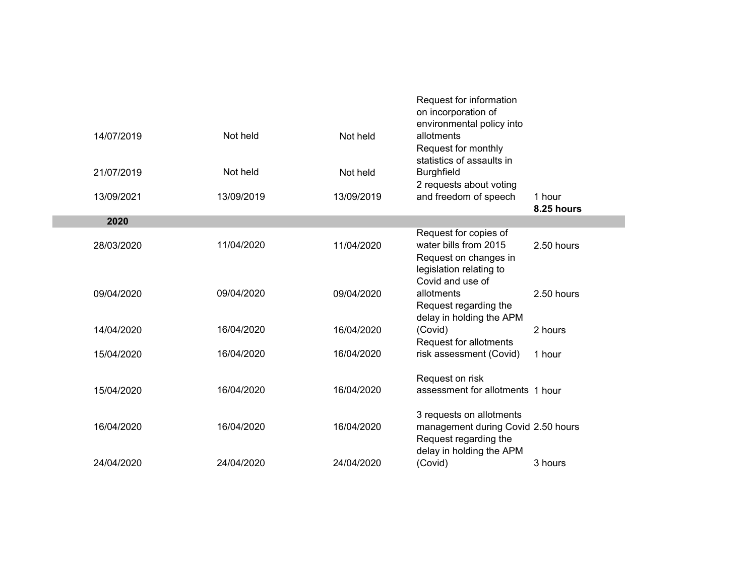|            |            |            | Request for information<br>on incorporation of<br>environmental policy into                        |                      |  |
|------------|------------|------------|----------------------------------------------------------------------------------------------------|----------------------|--|
| 14/07/2019 | Not held   | Not held   | allotments<br>Request for monthly<br>statistics of assaults in                                     |                      |  |
| 21/07/2019 | Not held   | Not held   | <b>Burghfield</b>                                                                                  |                      |  |
| 13/09/2021 | 13/09/2019 | 13/09/2019 | 2 requests about voting<br>and freedom of speech                                                   | 1 hour<br>8.25 hours |  |
| 2020       |            |            |                                                                                                    |                      |  |
| 28/03/2020 | 11/04/2020 | 11/04/2020 | Request for copies of<br>water bills from 2015<br>Request on changes in<br>legislation relating to | 2.50 hours           |  |
| 09/04/2020 | 09/04/2020 | 09/04/2020 | Covid and use of<br>allotments<br>Request regarding the<br>delay in holding the APM                | 2.50 hours           |  |
| 14/04/2020 | 16/04/2020 | 16/04/2020 | (Covid)<br>Request for allotments                                                                  | 2 hours              |  |
| 15/04/2020 | 16/04/2020 | 16/04/2020 | risk assessment (Covid)                                                                            | 1 hour               |  |
| 15/04/2020 | 16/04/2020 | 16/04/2020 | Request on risk<br>assessment for allotments 1 hour                                                |                      |  |
| 16/04/2020 | 16/04/2020 | 16/04/2020 | 3 requests on allotments<br>management during Covid 2.50 hours<br>Request regarding the            |                      |  |
| 24/04/2020 | 24/04/2020 | 24/04/2020 | delay in holding the APM<br>(Covid)                                                                | 3 hours              |  |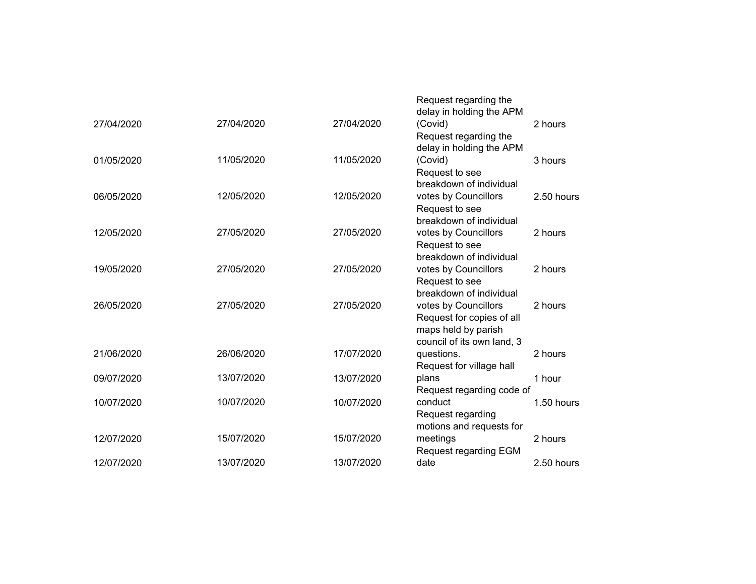|            |            |            | Request regarding the<br>delay in holding the APM |
|------------|------------|------------|---------------------------------------------------|
| 27/04/2020 | 27/04/2020 | 27/04/2020 | (Covid)<br>2 hours                                |
|            |            |            | Request regarding the                             |
|            |            |            | delay in holding the APM                          |
| 01/05/2020 | 11/05/2020 | 11/05/2020 | (Covid)<br>3 hours                                |
|            |            |            | Request to see                                    |
|            |            |            | breakdown of individual                           |
| 06/05/2020 | 12/05/2020 | 12/05/2020 | votes by Councillors<br>2.50 hours                |
|            |            |            | Request to see                                    |
|            |            |            | breakdown of individual                           |
| 12/05/2020 | 27/05/2020 | 27/05/2020 | votes by Councillors<br>2 hours                   |
|            |            |            | Request to see                                    |
|            |            |            | breakdown of individual                           |
| 19/05/2020 | 27/05/2020 | 27/05/2020 | votes by Councillors<br>2 hours                   |
|            |            |            | Request to see                                    |
|            |            |            | breakdown of individual                           |
| 26/05/2020 | 27/05/2020 | 27/05/2020 | votes by Councillors<br>2 hours                   |
|            |            |            | Request for copies of all                         |
|            |            |            | maps held by parish                               |
|            |            |            | council of its own land, 3                        |
| 21/06/2020 | 26/06/2020 | 17/07/2020 | questions.<br>2 hours                             |
|            |            |            | Request for village hall                          |
| 09/07/2020 | 13/07/2020 | 13/07/2020 | plans<br>1 hour                                   |
|            |            |            | Request regarding code of                         |
| 10/07/2020 | 10/07/2020 | 10/07/2020 | conduct<br>1.50 hours                             |
|            |            |            | Request regarding                                 |
|            |            |            | motions and requests for                          |
| 12/07/2020 | 15/07/2020 | 15/07/2020 | meetings<br>2 hours                               |
|            |            |            | Request regarding EGM                             |
| 12/07/2020 | 13/07/2020 | 13/07/2020 | 2.50 hours<br>date                                |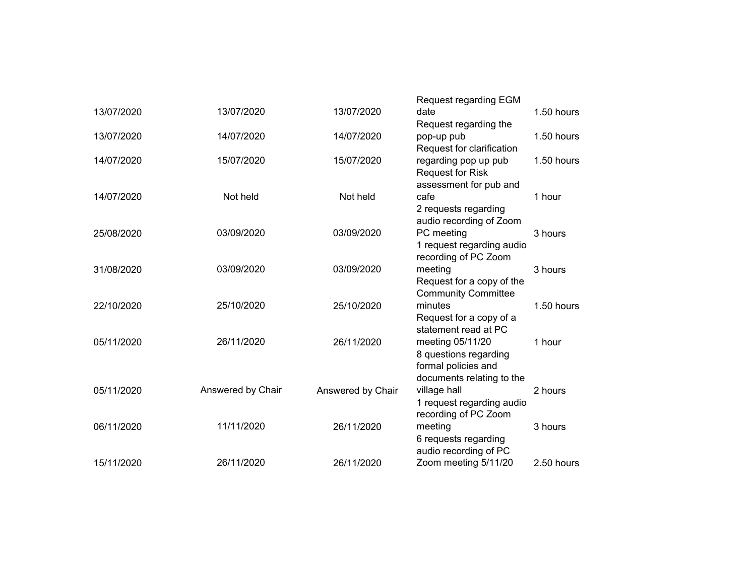|            |                   |                   | <b>Request regarding EGM</b> |            |
|------------|-------------------|-------------------|------------------------------|------------|
| 13/07/2020 | 13/07/2020        | 13/07/2020        | date                         | 1.50 hours |
|            |                   |                   | Request regarding the        |            |
| 13/07/2020 | 14/07/2020        | 14/07/2020        | pop-up pub                   | 1.50 hours |
|            |                   |                   | Request for clarification    |            |
| 14/07/2020 | 15/07/2020        | 15/07/2020        | regarding pop up pub         | 1.50 hours |
|            |                   |                   | <b>Request for Risk</b>      |            |
|            |                   |                   | assessment for pub and       |            |
| 14/07/2020 | Not held          | Not held          | cafe                         | 1 hour     |
|            |                   |                   | 2 requests regarding         |            |
|            |                   |                   | audio recording of Zoom      |            |
| 25/08/2020 | 03/09/2020        | 03/09/2020        | PC meeting                   | 3 hours    |
|            |                   |                   | 1 request regarding audio    |            |
|            |                   |                   | recording of PC Zoom         |            |
| 31/08/2020 | 03/09/2020        | 03/09/2020        | meeting                      | 3 hours    |
|            |                   |                   | Request for a copy of the    |            |
|            |                   |                   | <b>Community Committee</b>   |            |
| 22/10/2020 | 25/10/2020        | 25/10/2020        | minutes                      | 1.50 hours |
|            |                   |                   | Request for a copy of a      |            |
|            |                   |                   | statement read at PC         |            |
| 05/11/2020 | 26/11/2020        | 26/11/2020        | meeting 05/11/20             | 1 hour     |
|            |                   |                   | 8 questions regarding        |            |
|            |                   |                   | formal policies and          |            |
|            |                   |                   | documents relating to the    |            |
| 05/11/2020 | Answered by Chair | Answered by Chair | village hall                 | 2 hours    |
|            |                   |                   | 1 request regarding audio    |            |
|            |                   |                   | recording of PC Zoom         |            |
| 06/11/2020 | 11/11/2020        | 26/11/2020        | meeting                      | 3 hours    |
|            |                   |                   | 6 requests regarding         |            |
|            |                   |                   | audio recording of PC        |            |
| 15/11/2020 | 26/11/2020        | 26/11/2020        | Zoom meeting 5/11/20         | 2.50 hours |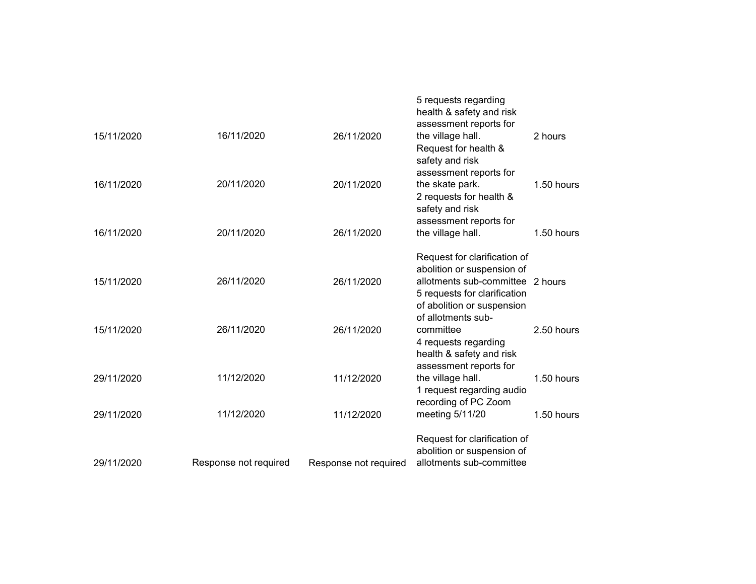|            |                       |                       | 5 requests regarding<br>health & safety and risk<br>assessment reports for                                                                                   |            |
|------------|-----------------------|-----------------------|--------------------------------------------------------------------------------------------------------------------------------------------------------------|------------|
| 15/11/2020 | 16/11/2020            | 26/11/2020            | the village hall.<br>Request for health &<br>safety and risk<br>assessment reports for                                                                       | 2 hours    |
| 16/11/2020 | 20/11/2020            | 20/11/2020            | the skate park.<br>2 requests for health &<br>safety and risk<br>assessment reports for                                                                      | 1.50 hours |
| 16/11/2020 | 20/11/2020            | 26/11/2020            | the village hall.                                                                                                                                            | 1.50 hours |
| 15/11/2020 | 26/11/2020            | 26/11/2020            | Request for clarification of<br>abolition or suspension of<br>allotments sub-committee 2 hours<br>5 requests for clarification<br>of abolition or suspension |            |
| 15/11/2020 | 26/11/2020            | 26/11/2020            | of allotments sub-<br>committee<br>4 requests regarding<br>health & safety and risk                                                                          | 2.50 hours |
| 29/11/2020 | 11/12/2020            | 11/12/2020            | assessment reports for<br>the village hall.<br>1 request regarding audio<br>recording of PC Zoom                                                             | 1.50 hours |
| 29/11/2020 | 11/12/2020            | 11/12/2020            | meeting 5/11/20                                                                                                                                              | 1.50 hours |
| 29/11/2020 | Response not required | Response not required | Request for clarification of<br>abolition or suspension of<br>allotments sub-committee                                                                       |            |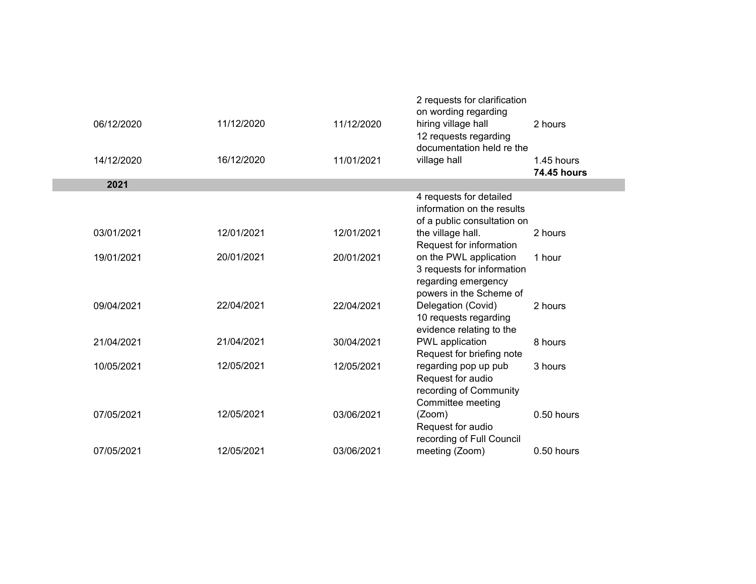|            |            |            | 2 requests for clarification<br>on wording regarding |                                  |  |
|------------|------------|------------|------------------------------------------------------|----------------------------------|--|
| 06/12/2020 | 11/12/2020 | 11/12/2020 | hiring village hall<br>12 requests regarding         | 2 hours                          |  |
|            |            |            | documentation held re the                            |                                  |  |
| 14/12/2020 | 16/12/2020 | 11/01/2021 | village hall                                         | 1.45 hours<br><b>74.45 hours</b> |  |
| 2021       |            |            |                                                      |                                  |  |
|            |            |            | 4 requests for detailed                              |                                  |  |
|            |            |            | information on the results                           |                                  |  |
|            |            |            | of a public consultation on                          |                                  |  |
| 03/01/2021 | 12/01/2021 | 12/01/2021 | the village hall.                                    | 2 hours                          |  |
|            |            |            | Request for information                              |                                  |  |
| 19/01/2021 | 20/01/2021 | 20/01/2021 | on the PWL application                               | 1 hour                           |  |
|            |            |            | 3 requests for information                           |                                  |  |
|            |            |            | regarding emergency                                  |                                  |  |
| 09/04/2021 | 22/04/2021 | 22/04/2021 | powers in the Scheme of<br>Delegation (Covid)        | 2 hours                          |  |
|            |            |            | 10 requests regarding                                |                                  |  |
|            |            |            | evidence relating to the                             |                                  |  |
| 21/04/2021 | 21/04/2021 | 30/04/2021 | PWL application                                      | 8 hours                          |  |
|            |            |            | Request for briefing note                            |                                  |  |
| 10/05/2021 | 12/05/2021 | 12/05/2021 | regarding pop up pub                                 | 3 hours                          |  |
|            |            |            | Request for audio                                    |                                  |  |
|            |            |            | recording of Community                               |                                  |  |
|            |            |            | Committee meeting                                    |                                  |  |
| 07/05/2021 | 12/05/2021 | 03/06/2021 | (Zoom)                                               | 0.50 hours                       |  |
|            |            |            | Request for audio                                    |                                  |  |
|            |            |            | recording of Full Council                            |                                  |  |
| 07/05/2021 | 12/05/2021 | 03/06/2021 | meeting (Zoom)                                       | 0.50 hours                       |  |
|            |            |            |                                                      |                                  |  |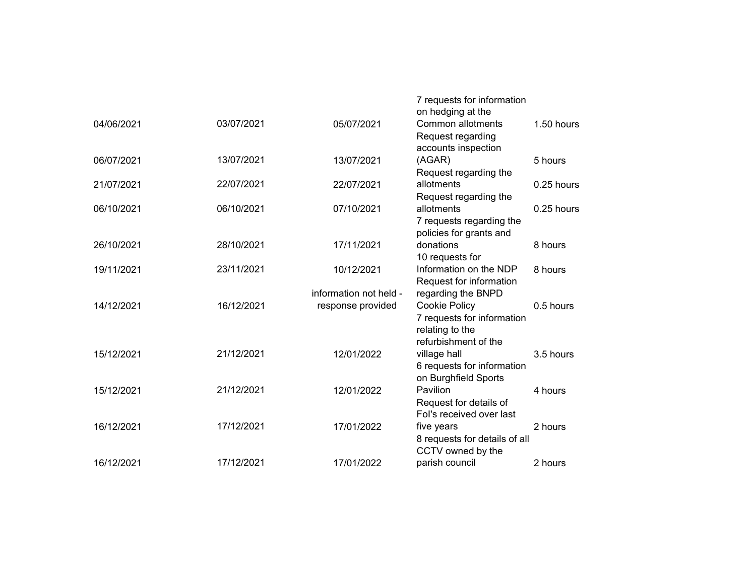|            |            |                        | 7 requests for information<br>on hedging at the |            |
|------------|------------|------------------------|-------------------------------------------------|------------|
| 04/06/2021 | 03/07/2021 | 05/07/2021             | Common allotments<br>Request regarding          | 1.50 hours |
|            |            |                        | accounts inspection                             |            |
| 06/07/2021 | 13/07/2021 | 13/07/2021             | (AGAR)                                          | 5 hours    |
|            |            |                        | Request regarding the                           |            |
| 21/07/2021 | 22/07/2021 | 22/07/2021             | allotments                                      | 0.25 hours |
|            |            |                        | Request regarding the                           |            |
| 06/10/2021 | 06/10/2021 | 07/10/2021             | allotments                                      | 0.25 hours |
|            |            |                        | 7 requests regarding the                        |            |
|            |            |                        | policies for grants and                         |            |
| 26/10/2021 | 28/10/2021 | 17/11/2021             | donations                                       | 8 hours    |
|            |            |                        | 10 requests for                                 |            |
| 19/11/2021 | 23/11/2021 | 10/12/2021             | Information on the NDP                          | 8 hours    |
|            |            |                        | Request for information                         |            |
|            |            | information not held - | regarding the BNPD                              |            |
| 14/12/2021 | 16/12/2021 | response provided      | Cookie Policy                                   | 0.5 hours  |
|            |            |                        | 7 requests for information                      |            |
|            |            |                        | relating to the                                 |            |
|            |            |                        | refurbishment of the                            |            |
| 15/12/2021 | 21/12/2021 | 12/01/2022             | village hall                                    | 3.5 hours  |
|            |            |                        | 6 requests for information                      |            |
|            |            |                        | on Burghfield Sports                            |            |
| 15/12/2021 | 21/12/2021 | 12/01/2022             | Pavilion                                        | 4 hours    |
|            |            |                        | Request for details of                          |            |
|            |            |                        | Fol's received over last                        |            |
| 16/12/2021 | 17/12/2021 | 17/01/2022             | five years                                      | 2 hours    |
|            |            |                        | 8 requests for details of all                   |            |
|            |            |                        | CCTV owned by the                               |            |
| 16/12/2021 | 17/12/2021 | 17/01/2022             | parish council                                  | 2 hours    |